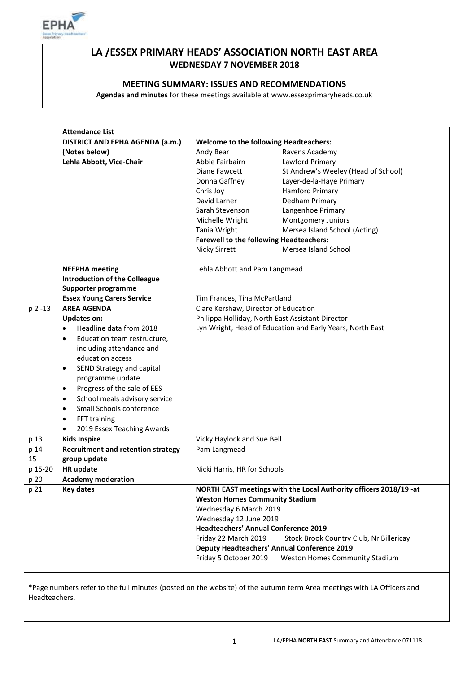

# **LA /ESSEX PRIMARY HEADS' ASSOCIATION NORTH EAST AREA WEDNESDAY 7 NOVEMBER 2018**

# **MEETING SUMMARY: ISSUES AND RECOMMENDATIONS**

**Agendas and minutes** for these meetings available at www.essexprimaryheads.co.uk

|         | <b>Attendance List</b>                     |                                                                   |                                                    |  |
|---------|--------------------------------------------|-------------------------------------------------------------------|----------------------------------------------------|--|
|         | DISTRICT AND EPHA AGENDA (a.m.)            | <b>Welcome to the following Headteachers:</b>                     |                                                    |  |
|         | (Notes below)                              | Andy Bear                                                         | Ravens Academy                                     |  |
|         | Lehla Abbott, Vice-Chair                   | Abbie Fairbairn                                                   | Lawford Primary                                    |  |
|         |                                            | Diane Fawcett                                                     | St Andrew's Weeley (Head of School)                |  |
|         |                                            | Donna Gaffney                                                     | Layer-de-la-Haye Primary                           |  |
|         |                                            | Chris Joy                                                         | <b>Hamford Primary</b>                             |  |
|         |                                            | David Larner                                                      | Dedham Primary                                     |  |
|         |                                            | Sarah Stevenson                                                   | Langenhoe Primary                                  |  |
|         |                                            | Michelle Wright                                                   | Montgomery Juniors                                 |  |
|         |                                            | Tania Wright                                                      | Mersea Island School (Acting)                      |  |
|         |                                            | <b>Farewell to the following Headteachers:</b>                    |                                                    |  |
|         |                                            | Nicky Sirrett                                                     | Mersea Island School                               |  |
|         | <b>NEEPHA</b> meeting                      | Lehla Abbott and Pam Langmead                                     |                                                    |  |
|         | <b>Introduction of the Colleague</b>       |                                                                   |                                                    |  |
|         | Supporter programme                        |                                                                   |                                                    |  |
|         | <b>Essex Young Carers Service</b>          | Tim Frances, Tina McPartland                                      |                                                    |  |
| p 2 -13 | <b>AREA AGENDA</b>                         | Clare Kershaw, Director of Education                              |                                                    |  |
|         | <b>Updates on:</b>                         | Philippa Holliday, North East Assistant Director                  |                                                    |  |
|         | Headline data from 2018<br>$\bullet$       | Lyn Wright, Head of Education and Early Years, North East         |                                                    |  |
|         | Education team restructure,<br>$\bullet$   |                                                                   |                                                    |  |
|         | including attendance and                   |                                                                   |                                                    |  |
|         | education access                           |                                                                   |                                                    |  |
|         | SEND Strategy and capital<br>$\bullet$     |                                                                   |                                                    |  |
|         | programme update                           |                                                                   |                                                    |  |
|         | Progress of the sale of EES<br>$\bullet$   |                                                                   |                                                    |  |
|         | School meals advisory service<br>$\bullet$ |                                                                   |                                                    |  |
|         | Small Schools conference<br>$\bullet$      |                                                                   |                                                    |  |
|         | FFT training<br>$\bullet$                  |                                                                   |                                                    |  |
|         | 2019 Essex Teaching Awards                 |                                                                   |                                                    |  |
| p 13    | <b>Kids Inspire</b>                        | Vicky Haylock and Sue Bell                                        |                                                    |  |
| p 14 -  | <b>Recruitment and retention strategy</b>  | Pam Langmead                                                      |                                                    |  |
| 15      | group update                               |                                                                   |                                                    |  |
| p 15-20 | HR update                                  | Nicki Harris, HR for Schools                                      |                                                    |  |
| p 20    | <b>Academy moderation</b>                  |                                                                   |                                                    |  |
| p 21    | <b>Key dates</b>                           | NORTH EAST meetings with the Local Authority officers 2018/19 -at |                                                    |  |
|         |                                            | <b>Weston Homes Community Stadium</b>                             |                                                    |  |
|         |                                            |                                                                   | Wednesday 6 March 2019                             |  |
|         |                                            | Wednesday 12 June 2019                                            |                                                    |  |
|         |                                            | <b>Headteachers' Annual Conference 2019</b>                       |                                                    |  |
|         |                                            | Friday 22 March 2019                                              | Stock Brook Country Club, Nr Billericay            |  |
|         |                                            |                                                                   | <b>Deputy Headteachers' Annual Conference 2019</b> |  |
|         |                                            | Friday 5 October 2019                                             | <b>Weston Homes Community Stadium</b>              |  |
|         |                                            |                                                                   |                                                    |  |

\*Page numbers refer to the full minutes (posted on the website) of the autumn term Area meetings with LA Officers and Headteachers.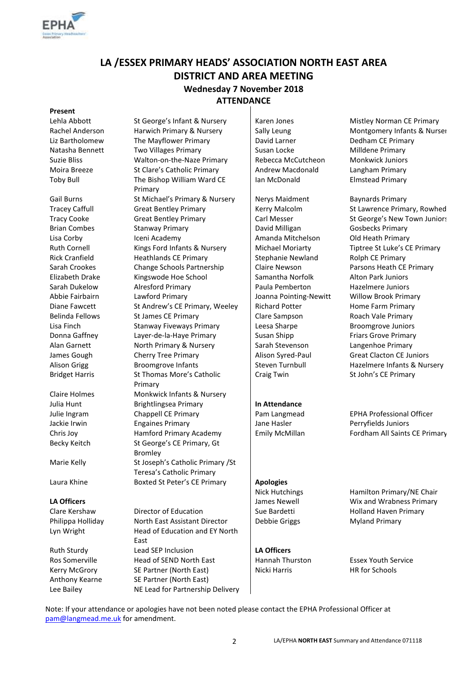

# **LA /ESSEX PRIMARY HEADS' ASSOCIATION NORTH EAST AREA DISTRICT AND AREA MEETING Wednesday 7 November 2018 ATTENDANCE**

# **Present**

Lehla Abbott St George's Infant & Nursery Staten Jones Mistley Norman CE Primary Rachel Anderson Harwich Primary & Nursery Sally Leung Montgomery Infants & Nurser Liz Bartholomew The Mayflower Primary **David Larner** Dedham CE Primary Natasha Bennett Two Villages Primary Susan Locke Susan Locke Milldene Primary Suzie Bliss Walton-on-the-Naze Primary Rebecca McCutcheon Monkwick Juniors Moira Breeze St Clare's Catholic Primary Andrew Macdonald Langham Primary Toby Bull The Bishop William Ward CE Primary Gail Burns **St Michael's Primary & Nursery Communist Managery** Baynards Primary Baynards Primary Tracey Caffull Great Bentley Primary **Kerry Malcolm St Lawrence Primary, Rowhed** Kerry Malcolm St Lawrence Primary, Rowhed Tracy Cooke Great Bentley Primary Carl Messer St George's New Town Juniors Brian Combes Stanway Primary David Milligan Gosbecks Primary Lisa Corby Iceni Academy **Icentificate Amanda Mitchelson** Old Heath Primary Ruth Cornell Kings Ford Infants & Nursery | Michael Moriarty Tiptree St Luke's CE Primary Rick Cranfield **Heathlands CE Primary** Stephanie Newland Rolph CE Primary Sarah Crookes Change Schools Partnership Claire Newson Parsons Heath CE Primary Elizabeth Drake Kingswode Hoe School Samantha Norfolk Alton Park Juniors Sarah Dukelow Alresford Primary Paula Pemberton Hazelmere Juniors Abbie Fairbairn Lawford Primary Joanna Pointing-Newitt Willow Brook Primary Diane Fawcett St Andrew's CE Primary, Weeley | Richard Potter Home Farm Primary Belinda Fellows St James CE Primary Clare Sampson Roach Vale Primary Lisa Finch **Stanway Fiveways Primary** Leesa Sharpe Broomgrove Juniors Donna Gaffney Layer-de-la-Haye Primary Susan Shipp Friars Grove Primary Alan Garnett **North Primary & Nursery** Sarah Stevenson Langenhoe Primary James Gough Cherry Tree Primary Alison Syred-Paul Great Clacton CE Juniors Alison Grigg **Broomgrove Infants** Steven Turnbull Hazelmere Infants & Nursery Bridget Harris St Thomas More's Catholic Primary Claire Holmes Monkwick Infants & Nursery Julia Hunt Brightlingsea Primary **In Attendance**  Julie Ingram **Chappell CE Primary Pam Langmead** EPHA Professional Officer Jackie Irwin **Engaines Primary Community** Jane Hasler **Perryfields Juniors** Chris Joy Hamford Primary Academy Emily McMillan Fordham All Saints CE Primary Becky Keitch St George's CE Primary, Gt Bromley Marie Kelly St Joseph's Catholic Primary / St Teresa's Catholic Primary Laura Khine Boxted St Peter's CE Primary **Apologies**

Clare Kershaw **Director of Education** Sue Bardetti **Sue Holland Haven Primary** Sue Bardetti **Holland Haven Primary** Philippa Holliday **North East Assistant Director** Debbie Griggs Myland Primary Lyn Wright **Head of Education and EY North** East Ruth Sturdy **Lead SEP Inclusion LA Officers** Ros Somerville Head of SEND North East Hannah Thurston Essex Youth Service Kerry McGrory SE Partner (North East) Nicki Harris North HR for Schools Anthony Kearne SE Partner (North East) Lee Bailey NE Lead for Partnership Delivery

Ian McDonald Elmstead Primary

Craig Twin St John's CE Primary

Nick Hutchings Hamilton Primary/NE Chair **LA Officers LA Officers James Newell** James Newell **Wix and Wrabness Primary** 

Note: If your attendance or apologies have not been noted please contact the EPHA Professional Officer at [pam@langmead.me.uk](mailto:pam@langmead.me.uk) for amendment.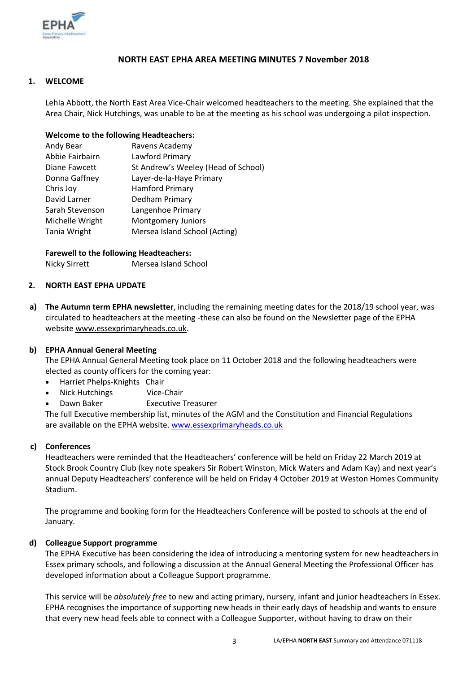

# **NORTH EAST EPHA AREA MEETING MINUTES 7 November 2018**

# **1. WELCOME**

Lehla Abbott, the North East Area Vice-Chair welcomed headteachers to the meeting. She explained that the Area Chair, Nick Hutchings, was unable to be at the meeting as his school was undergoing a pilot inspection.

### **Welcome to the following Headteachers:**

| Andy Bear       | Ravens Academy                      |
|-----------------|-------------------------------------|
| Abbie Fairbairn | Lawford Primary                     |
| Diane Fawcett   | St Andrew's Weeley (Head of School) |
| Donna Gaffney   | Layer-de-la-Haye Primary            |
| Chris Joy       | <b>Hamford Primary</b>              |
| David Larner    | Dedham Primary                      |
| Sarah Stevenson | Langenhoe Primary                   |
| Michelle Wright | <b>Montgomery Juniors</b>           |
| Tania Wright    | Mersea Island School (Acting)       |

### **Farewell to the following Headteachers:**

Nicky Sirrett Mersea Island School

### **2. NORTH EAST EPHA UPDATE**

**a) The Autumn term EPHA newsletter**, including the remaining meeting dates for the 2018/19 school year, was circulated to headteachers at the meeting -these can also be found on the Newsletter page of the EPHA websit[e www.essexprimaryheads.co.uk.](http://www.essexprimaryheads.co.uk/)

# **b) EPHA Annual General Meeting**

The EPHA Annual General Meeting took place on 11 October 2018 and the following headteachers were elected as county officers for the coming year:

- Harriet Phelps-Knights Chair
- Nick Hutchings Vice-Chair
- Dawn Baker Executive Treasurer

The full Executive membership list, minutes of the AGM and the Constitution and Financial Regulations are available on the EPHA website[. www.essexprimaryheads.co.uk](http://www.essexprimaryheads.co.uk/)

# **c) Conferences**

Headteachers were reminded that the Headteachers' conference will be held on Friday 22 March 2019 at Stock Brook Country Club (key note speakers Sir Robert Winston, Mick Waters and Adam Kay) and next year's annual Deputy Headteachers' conference will be held on Friday 4 October 2019 at Weston Homes Community Stadium.

The programme and booking form for the Headteachers Conference will be posted to schools at the end of January.

# **d) Colleague Support programme**

The EPHA Executive has been considering the idea of introducing a mentoring system for new headteachers in Essex primary schools, and following a discussion at the Annual General Meeting the Professional Officer has developed information about a Colleague Support programme.

This service will be *absolutely free* to new and acting primary, nursery, infant and junior headteachers in Essex. EPHA recognises the importance of supporting new heads in their early days of headship and wants to ensure that every new head feels able to connect with a Colleague Supporter, without having to draw on their